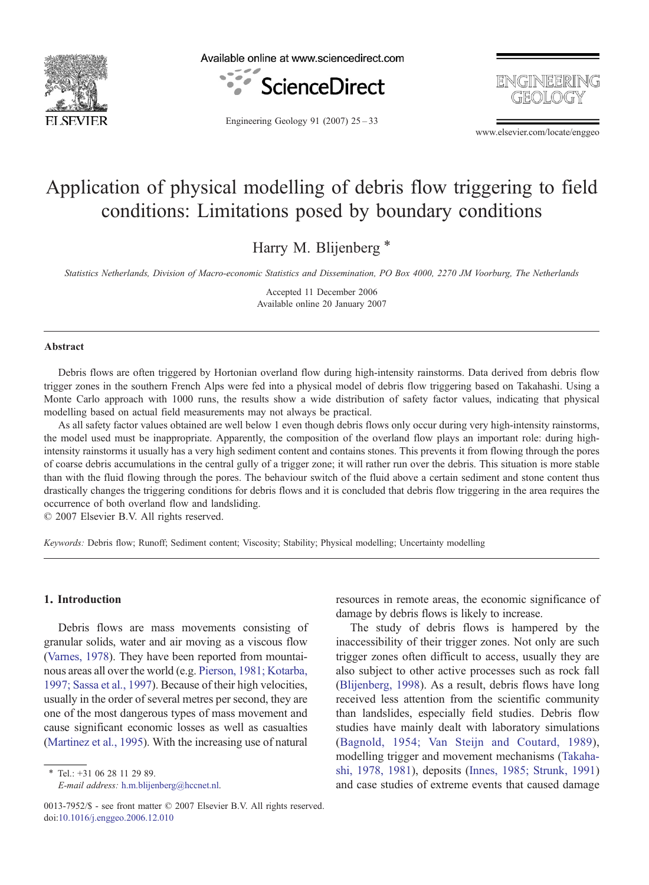

Available online at www.sciencedirect.com





Engineering Geology 91 (2007) 25–33

www.elsevier.com/locate/enggeo

# Application of physical modelling of debris flow triggering to field conditions: Limitations posed by boundary conditions

Harry M. Blijenberg<sup>\*</sup>

Statistics Netherlands, Division of Macro-economic Statistics and Dissemination, PO Box 4000, 2270 JM Voorburg, The Netherlands

Accepted 11 December 2006 Available online 20 January 2007

#### Abstract

Debris flows are often triggered by Hortonian overland flow during high-intensity rainstorms. Data derived from debris flow trigger zones in the southern French Alps were fed into a physical model of debris flow triggering based on Takahashi. Using a Monte Carlo approach with 1000 runs, the results show a wide distribution of safety factor values, indicating that physical modelling based on actual field measurements may not always be practical.

As all safety factor values obtained are well below 1 even though debris flows only occur during very high-intensity rainstorms, the model used must be inappropriate. Apparently, the composition of the overland flow plays an important role: during highintensity rainstorms it usually has a very high sediment content and contains stones. This prevents it from flowing through the pores of coarse debris accumulations in the central gully of a trigger zone; it will rather run over the debris. This situation is more stable than with the fluid flowing through the pores. The behaviour switch of the fluid above a certain sediment and stone content thus drastically changes the triggering conditions for debris flows and it is concluded that debris flow triggering in the area requires the occurrence of both overland flow and landsliding.

© 2007 Elsevier B.V. All rights reserved.

Keywords: Debris flow; Runoff; Sediment content; Viscosity; Stability; Physical modelling; Uncertainty modelling

### 1. Introduction

Debris flows are mass movements consisting of granular solids, water and air moving as a viscous flow [\(Varnes, 1978](#page-8-0)). They have been reported from mountainous areas all over the world (e.g. [Pierson, 1981; Kotarba,](#page-8-0) [1997; Sassa et al., 1997](#page-8-0)). Because of their high velocities, usually in the order of several metres per second, they are one of the most dangerous types of mass movement and cause significant economic losses as well as casualties [\(Martinez et al., 1995](#page-8-0)). With the increasing use of natural

⁎ Tel.: +31 06 28 11 29 89. E-mail address: [h.m.blijenberg@hccnet.nl.](mailto:h.m.blijenberg@hccnet.nl) resources in remote areas, the economic significance of damage by debris flows is likely to increase.

The study of debris flows is hampered by the inaccessibility of their trigger zones. Not only are such trigger zones often difficult to access, usually they are also subject to other active processes such as rock fall [\(Blijenberg, 1998](#page-7-0)). As a result, debris flows have long received less attention from the scientific community than landslides, especially field studies. Debris flow studies have mainly dealt with laboratory simulations [\(Bagnold, 1954; Van Steijn and Coutard, 1989](#page-7-0)), modelling trigger and movement mechanisms [\(Takaha](#page-8-0)[shi, 1978, 1981](#page-8-0)), deposits ([Innes, 1985; Strunk, 1991\)](#page-8-0) and case studies of extreme events that caused damage

<sup>0013-7952/\$ -</sup> see front matter © 2007 Elsevier B.V. All rights reserved. doi[:10.1016/j.enggeo.2006.12.010](http://dx.doi.org/10.1016/j.enggeo.2006.12.010)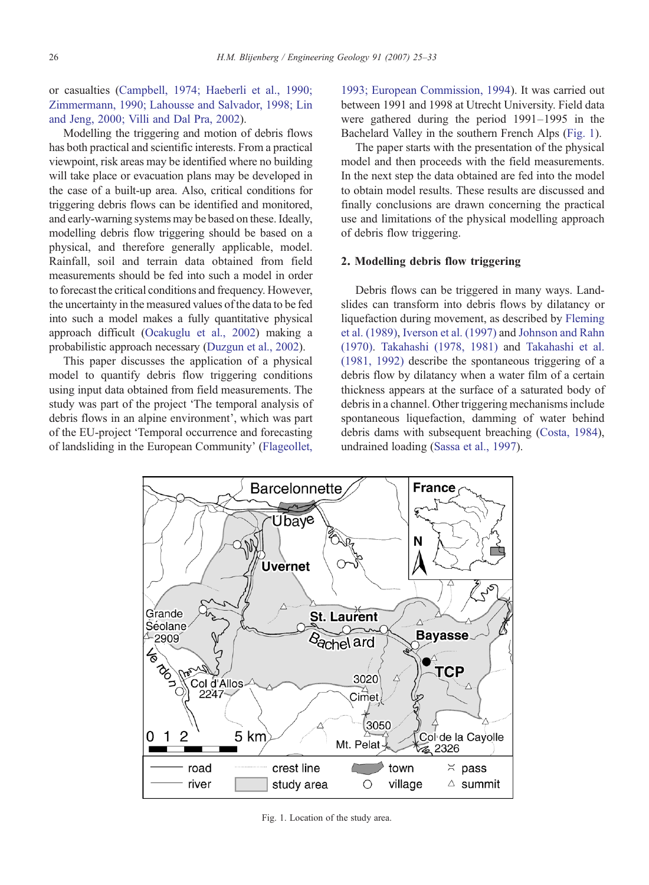<span id="page-1-0"></span>or casualties [\(Campbell, 1974; Haeberli et al., 1990;](#page-7-0) [Zimmermann, 1990; Lahousse and Salvador, 1998; Lin](#page-7-0) [and Jeng, 2000; Villi and Dal Pra, 2002](#page-7-0)).

Modelling the triggering and motion of debris flows has both practical and scientific interests. From a practical viewpoint, risk areas may be identified where no building will take place or evacuation plans may be developed in the case of a built-up area. Also, critical conditions for triggering debris flows can be identified and monitored, and early-warning systems may be based on these. Ideally, modelling debris flow triggering should be based on a physical, and therefore generally applicable, model. Rainfall, soil and terrain data obtained from field measurements should be fed into such a model in order to forecast the critical conditions and frequency. However, the uncertainty in the measured values of the data to be fed into such a model makes a fully quantitative physical approach difficult ([Ocakuglu et al., 2002](#page-8-0)) making a probabilistic approach necessary ([Duzgun et al., 2002\)](#page-7-0).

This paper discusses the application of a physical model to quantify debris flow triggering conditions using input data obtained from field measurements. The study was part of the project 'The temporal analysis of debris flows in an alpine environment', which was part of the EU-project 'Temporal occurrence and forecasting of landsliding in the European Community' [\(Flageollet,](#page-7-0) [1993; European Commission, 1994](#page-7-0)). It was carried out between 1991 and 1998 at Utrecht University. Field data were gathered during the period 1991–1995 in the Bachelard Valley in the southern French Alps (Fig. 1).

The paper starts with the presentation of the physical model and then proceeds with the field measurements. In the next step the data obtained are fed into the model to obtain model results. These results are discussed and finally conclusions are drawn concerning the practical use and limitations of the physical modelling approach of debris flow triggering.

# 2. Modelling debris flow triggering

Debris flows can be triggered in many ways. Landslides can transform into debris flows by dilatancy or liquefaction during movement, as described by [Fleming](#page-7-0) [et al. \(1989\)](#page-7-0), [Iverson et al. \(1997\)](#page-8-0) and [Johnson and Rahn](#page-8-0) [\(1970\).](#page-8-0) [Takahashi \(1978, 1981\)](#page-8-0) and [Takahashi et al.](#page-8-0) [\(1981, 1992\)](#page-8-0) describe the spontaneous triggering of a debris flow by dilatancy when a water film of a certain thickness appears at the surface of a saturated body of debris in a channel. Other triggering mechanisms include spontaneous liquefaction, damming of water behind debris dams with subsequent breaching [\(Costa, 1984\)](#page-7-0), undrained loading [\(Sassa et al., 1997](#page-8-0)).



Fig. 1. Location of the study area.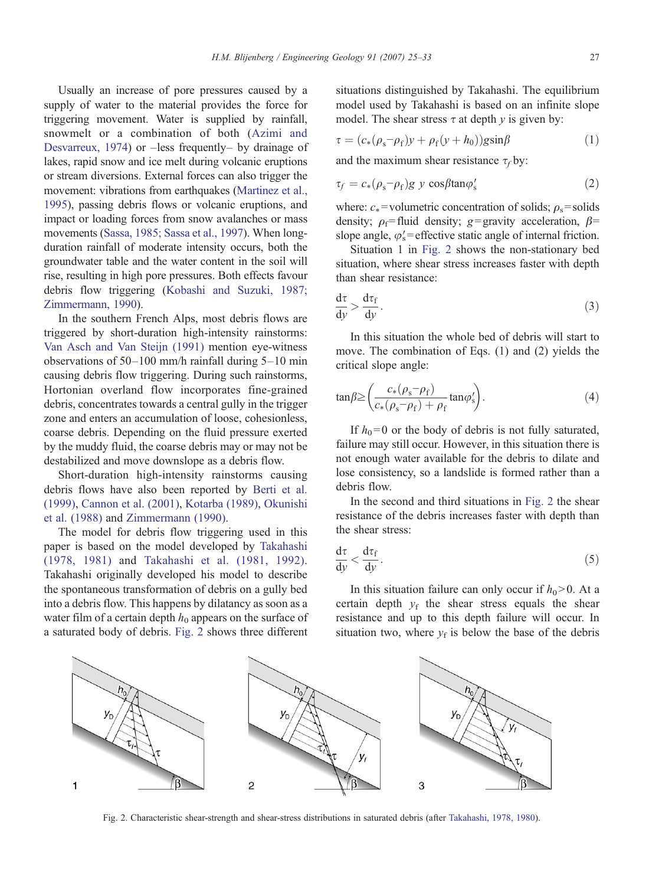Usually an increase of pore pressures caused by a supply of water to the material provides the force for triggering movement. Water is supplied by rainfall, snowmelt or a combination of both ([Azimi and](#page-7-0) [Desvarreux, 1974](#page-7-0)) or –less frequently– by drainage of lakes, rapid snow and ice melt during volcanic eruptions or stream diversions. External forces can also trigger the movement: vibrations from earthquakes ([Martinez et al.,](#page-8-0) [1995](#page-8-0)), passing debris flows or volcanic eruptions, and impact or loading forces from snow avalanches or mass movements [\(Sassa, 1985; Sassa et al., 1997](#page-8-0)). When longduration rainfall of moderate intensity occurs, both the groundwater table and the water content in the soil will rise, resulting in high pore pressures. Both effects favour debris flow triggering ([Kobashi and Suzuki, 1987;](#page-8-0) [Zimmermann, 1990\)](#page-8-0).

In the southern French Alps, most debris flows are triggered by short-duration high-intensity rainstorms: [Van Asch and Van Steijn \(1991\)](#page-8-0) mention eye-witness observations of 50–100 mm/h rainfall during 5–10 min causing debris flow triggering. During such rainstorms, Hortonian overland flow incorporates fine-grained debris, concentrates towards a central gully in the trigger zone and enters an accumulation of loose, cohesionless, coarse debris. Depending on the fluid pressure exerted by the muddy fluid, the coarse debris may or may not be destabilized and move downslope as a debris flow.

Short-duration high-intensity rainstorms causing debris flows have also been reported by [Berti et al.](#page-7-0) [\(1999\)](#page-7-0), [Cannon et al. \(2001\)](#page-7-0), [Kotarba \(1989\)](#page-8-0), [Okunishi](#page-8-0) [et al. \(1988\)](#page-8-0) and [Zimmermann \(1990\)](#page-8-0).

The model for debris flow triggering used in this paper is based on the model developed by [Takahashi](#page-8-0) [\(1978, 1981\)](#page-8-0) and [Takahashi et al. \(1981, 1992\).](#page-8-0) Takahashi originally developed his model to describe the spontaneous transformation of debris on a gully bed into a debris flow. This happens by dilatancy as soon as a water film of a certain depth  $h_0$  appears on the surface of a saturated body of debris. Fig. 2 shows three different

situations distinguished by Takahashi. The equilibrium model used by Takahashi is based on an infinite slope model. The shear stress  $\tau$  at depth  $\gamma$  is given by:

$$
\tau = (c_*(\rho_s - \rho_f)y + \rho_f(y + h_0))g\sin\beta \tag{1}
$$

and the maximum shear resistance  $\tau_f$  by:

$$
\tau_f = c_*(\rho_s - \rho_f)g \ y \cos\beta \tan\varphi'_s \tag{2}
$$

where:  $c_*$ = volumetric concentration of solids;  $\rho_s$ = solids density;  $\rho_f$ = fluid density; g= gravity acceleration,  $\beta$ = slope angle,  $\varphi$ 's = effective static angle of internal friction.

Situation 1 in Fig. 2 shows the non-stationary bed situation, where shear stress increases faster with depth than shear resistance:

$$
\frac{d\tau}{dy} > \frac{d\tau_f}{dy}.
$$
 (3)

In this situation the whole bed of debris will start to move. The combination of Eqs. (1) and (2) yields the critical slope angle:

$$
\tan\beta \ge \left(\frac{c_*(\rho_s - \rho_f)}{c_*(\rho_s - \rho_f) + \rho_f} \tan\varphi'_s\right). \tag{4}
$$

If  $h_0=0$  or the body of debris is not fully saturated, failure may still occur. However, in this situation there is not enough water available for the debris to dilate and lose consistency, so a landslide is formed rather than a debris flow.

In the second and third situations in Fig. 2 the shear resistance of the debris increases faster with depth than the shear stress:

$$
\frac{d\tau}{dy} < \frac{d\tau_f}{dy}.\tag{5}
$$

In this situation failure can only occur if  $h_0 > 0$ . At a certain depth  $y_f$  the shear stress equals the shear resistance and up to this depth failure will occur. In situation two, where  $y_f$  is below the base of the debris



Fig. 2. Characteristic shear-strength and shear-stress distributions in saturated debris (after [Takahashi, 1978, 1980](#page-8-0)).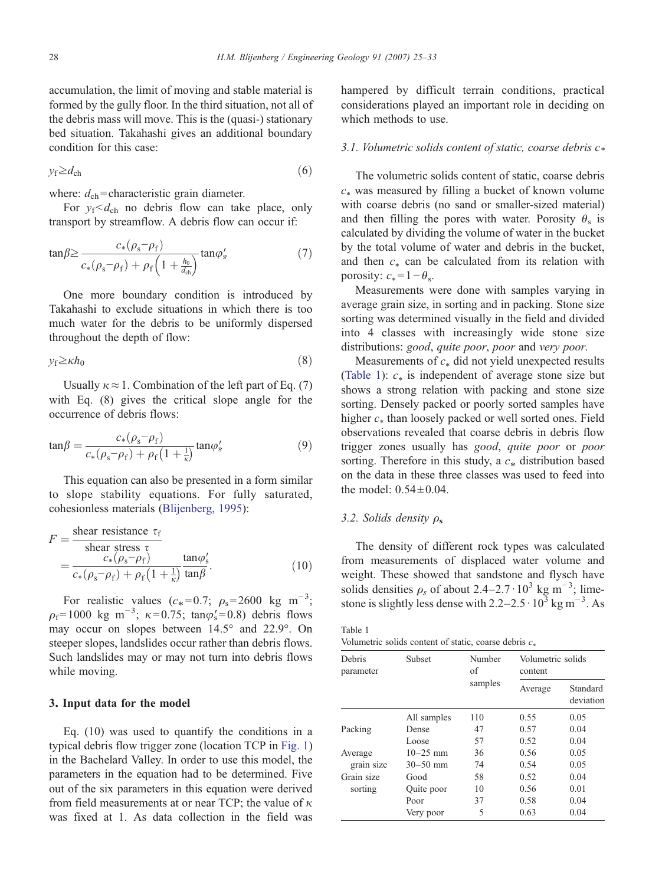accumulation, the limit of moving and stable material is formed by the gully floor. In the third situation, not all of the debris mass will move. This is the (quasi-) stationary bed situation. Takahashi gives an additional boundary condition for this case:

$$
y_{\rm f} \ge d_{\rm ch} \tag{6}
$$

where:  $d_{\rm ch}$ = characteristic grain diameter.

For  $y_f < d_{ch}$  no debris flow can take place, only transport by streamflow. A debris flow can occur if:

$$
\tan\beta \ge \frac{c_*(\rho_s - \rho_f)}{c_*(\rho_s - \rho_f) + \rho_f \left(1 + \frac{h_0}{d_{\text{ch}}}\right)} \tan\varphi'_s \tag{7}
$$

One more boundary condition is introduced by Takahashi to exclude situations in which there is too much water for the debris to be uniformly dispersed throughout the depth of flow:

$$
y_{\rm f} \ge \kappa h_0 \tag{8}
$$

Usually  $\kappa \approx 1$ . Combination of the left part of Eq. (7) with Eq. (8) gives the critical slope angle for the occurrence of debris flows:

$$
\tan\beta = \frac{c_*(\rho_s - \rho_f)}{c_*(\rho_s - \rho_f) + \rho_f \left(1 + \frac{1}{\kappa}\right)} \tan\varphi'_s \tag{9}
$$

This equation can also be presented in a form similar to slope stability equations. For fully saturated, cohesionless materials [\(Blijenberg, 1995](#page-7-0)):

$$
F = \frac{\text{shear resistance } \tau_{\text{f}}}{\text{shear stress } \tau} = \frac{c_{*}(\rho_{\text{s}} - \rho_{\text{f}})}{c_{*}(\rho_{\text{s}} - \rho_{\text{f}}) + \rho_{\text{f}}(1 + \frac{1}{\kappa})} \frac{\tan \varphi_{\text{s}}'}{\tan \beta}.
$$
 (10)

For realistic values ( $c_* = 0.7$ ;  $\rho_s = 2600 \text{ kg m}^{-3}$ ;  $\rho_f$ = 1000 kg m<sup>-3</sup>;  $\kappa$ =0.75; tan $\varphi_s'$ =0.8) debris flows may occur on slopes between 14.5° and 22.9°. On steeper slopes, landslides occur rather than debris flows. Such landslides may or may not turn into debris flows while moving.

# 3. Input data for the model

Eq. (10) was used to quantify the conditions in a typical debris flow trigger zone (location TCP in [Fig. 1](#page-1-0)) in the Bachelard Valley. In order to use this model, the parameters in the equation had to be determined. Five out of the six parameters in this equation were derived from field measurements at or near TCP; the value of  $\kappa$ was fixed at 1. As data collection in the field was

hampered by difficult terrain conditions, practical considerations played an important role in deciding on which methods to use.

### 3.1. Volumetric solids content of static, coarse debris  $c^*$

The volumetric solids content of static, coarse debris  $c_*$  was measured by filling a bucket of known volume with coarse debris (no sand or smaller-sized material) and then filling the pores with water. Porosity  $\theta_s$  is calculated by dividing the volume of water in the bucket by the total volume of water and debris in the bucket, and then  $c_*$  can be calculated from its relation with porosity:  $c_* = 1 - \theta_s$ .

Measurements were done with samples varying in average grain size, in sorting and in packing. Stone size sorting was determined visually in the field and divided into 4 classes with increasingly wide stone size distributions: good, quite poor, poor and very poor.

Measurements of  $c_*$  did not yield unexpected results (Table 1):  $c_*$  is independent of average stone size but shows a strong relation with packing and stone size sorting. Densely packed or poorly sorted samples have higher  $c_*$  than loosely packed or well sorted ones. Field observations revealed that coarse debris in debris flow trigger zones usually has good, quite poor or poor sorting. Therefore in this study, a  $c_*$  distribution based on the data in these three classes was used to feed into the model:  $0.54 \pm 0.04$ .

### 3.2. Solids density  $\rho_s$

The density of different rock types was calculated from measurements of displaced water volume and weight. These showed that sandstone and flysch have solids densities  $\rho_s$  of about 2.4–2.7 $\cdot$  10<sup>3</sup> kg m<sup>-3</sup>; limestone is slightly less dense with  $2.2 - 2.5 \cdot 10^3$  kg m<sup>-3</sup>. As

| Table 1                                                  |  |  |  |  |
|----------------------------------------------------------|--|--|--|--|
| Volumetric solids content of static, coarse debris $c_*$ |  |  |  |  |

| Debris<br>parameter | <b>Subset</b> | Number<br>of | content | Volumetric solids     |  |  |
|---------------------|---------------|--------------|---------|-----------------------|--|--|
|                     |               | samples      | Average | Standard<br>deviation |  |  |
|                     | All samples   | 110          | 0.55    | 0.05                  |  |  |
| Packing             | Dense         | 47           | 0.57    | 0.04                  |  |  |
|                     | Loose         | 57           | 0.52    | 0.04                  |  |  |
| Average             | $10 - 25$ mm  | 36           | 0.56    | 0.05                  |  |  |
| grain size          | $30 - 50$ mm  | 74           | 0.54    | 0.05                  |  |  |
| Grain size          | Good          | 58           | 0.52    | 0.04                  |  |  |
| sorting             | Quite poor    | 10           | 0.56    | 0.01                  |  |  |
|                     | Poor          | 37           | 0.58    | 0.04                  |  |  |
|                     | Very poor     | 5            | 0.63    | 0.04                  |  |  |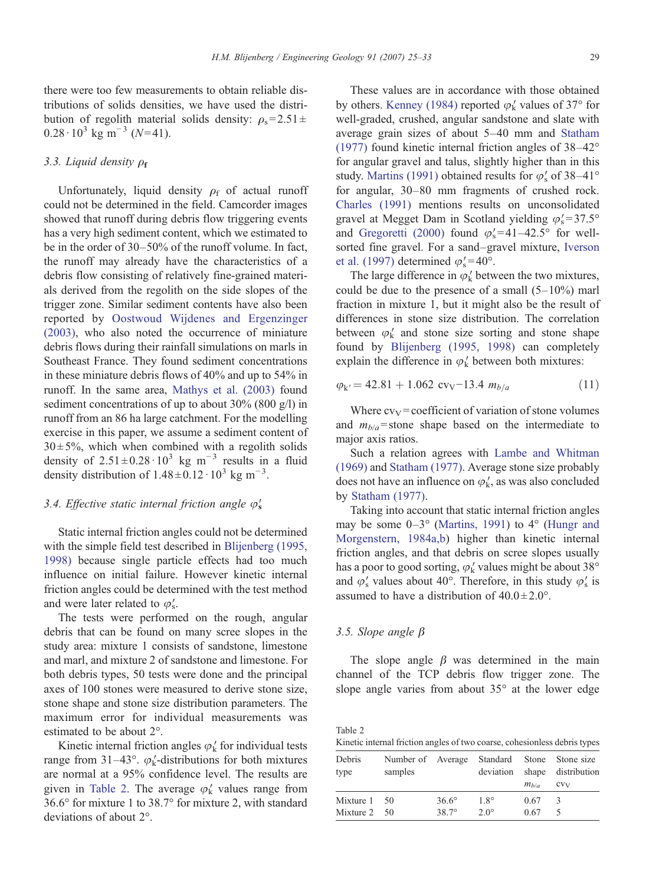there were too few measurements to obtain reliable distributions of solids densities, we have used the distribution of regolith material solids density:  $\rho_s = 2.51 \pm$  $0.28 \cdot 10^3$  kg m<sup>-3</sup> (N=41).

# 3.3. Liquid density  $\rho_f$

Unfortunately, liquid density  $\rho_f$  of actual runoff could not be determined in the field. Camcorder images showed that runoff during debris flow triggering events has a very high sediment content, which we estimated to be in the order of 30–50% of the runoff volume. In fact, the runoff may already have the characteristics of a debris flow consisting of relatively fine-grained materials derived from the regolith on the side slopes of the trigger zone. Similar sediment contents have also been reported by [Oostwoud Wijdenes and Ergenzinger](#page-8-0) [\(2003\)](#page-8-0), who also noted the occurrence of miniature debris flows during their rainfall simulations on marls in Southeast France. They found sediment concentrations in these miniature debris flows of 40% and up to 54% in runoff. In the same area, [Mathys et al. \(2003\)](#page-8-0) found sediment concentrations of up to about 30% (800 g/l) in runoff from an 86 ha large catchment. For the modelling exercise in this paper, we assume a sediment content of  $30 \pm 5\%$ , which when combined with a regolith solids density of  $2.51 \pm 0.28 \cdot 10^3$  kg m<sup>-3</sup> results in a fluid density distribution of  $1.48 \pm 0.12 \cdot 10^3$  kg m<sup>-3</sup>.

# 3.4. Effective static internal friction angle  $\varphi'_{s}$

Static internal friction angles could not be determined with the simple field test described in [Blijenberg \(1995,](#page-7-0) [1998\)](#page-7-0) because single particle effects had too much influence on initial failure. However kinetic internal friction angles could be determined with the test method and were later related to  $\varphi'_{s}$ .

The tests were performed on the rough, angular debris that can be found on many scree slopes in the study area: mixture 1 consists of sandstone, limestone and marl, and mixture 2 of sandstone and limestone. For both debris types, 50 tests were done and the principal axes of 100 stones were measured to derive stone size, stone shape and stone size distribution parameters. The maximum error for individual measurements was estimated to be about 2°.

Kinetic internal friction angles  $\varphi_k'$  for individual tests range from 31–43°.  $\varphi_k'$ -distributions for both mixtures are normal at a 95% confidence level. The results are given in Table 2. The average  $\varphi'_k$  values range from 36.6° for mixture 1 to 38.7° for mixture 2, with standard deviations of about 2°.

These values are in accordance with those obtained by others. [Kenney \(1984\)](#page-8-0) reported  $\varphi'_{k}$  values of 37° for well-graded, crushed, angular sandstone and slate with average grain sizes of about 5–40 mm and [Statham](#page-8-0) [\(1977\)](#page-8-0) found kinetic internal friction angles of 38–42° for angular gravel and talus, slightly higher than in this study. [Martins \(1991\)](#page-8-0) obtained results for  $\varphi'_s$  of 38–41° for angular, 30–80 mm fragments of crushed rock. [Charles \(1991\)](#page-7-0) mentions results on unconsolidated gravel at Megget Dam in Scotland yielding  $\varphi_s' = 37.5^\circ$ and [Gregoretti \(2000\)](#page-7-0) found  $\varphi_s' = 41 - 42.5^\circ$  for wellsorted fine gravel. For a sand–gravel mixture, [Iverson](#page-8-0) [et al. \(1997\)](#page-8-0) determined  $\varphi_s' = 40^\circ$ .

The large difference in  $\varphi_k'$  between the two mixtures, could be due to the presence of a small  $(5-10\%)$  marl fraction in mixture 1, but it might also be the result of differences in stone size distribution. The correlation between  $\varphi'_k$  and stone size sorting and stone shape found by [Blijenberg \(1995, 1998\)](#page-7-0) can completely explain the difference in  $\varphi'_k$  between both mixtures:

$$
\varphi_{k'} = 42.81 + 1.062 \text{ cvv} - 13.4 \ m_{b/a} \tag{11}
$$

Where  $cv_V =$  coefficient of variation of stone volumes and  $m_{b/a}$ =stone shape based on the intermediate to major axis ratios.

Such a relation agrees with [Lambe and Whitman](#page-8-0) [\(1969\)](#page-8-0) and [Statham \(1977\).](#page-8-0) Average stone size probably does not have an influence on  $\varphi'_k$ , as was also concluded by [Statham \(1977\).](#page-8-0)

Taking into account that static internal friction angles may be some  $0-3^{\circ}$  ([Martins, 1991\)](#page-8-0) to  $4^{\circ}$  [\(Hungr and](#page-8-0) [Morgenstern, 1984a,b](#page-8-0)) higher than kinetic internal friction angles, and that debris on scree slopes usually has a poor to good sorting,  $\varphi'_k$  values might be about 38° and  $\varphi'_{s}$  values about 40°. Therefore, in this study  $\varphi'_{s}$  is assumed to have a distribution of  $40.0 \pm 2.0^{\circ}$ .

### 3.5. Slope angle β

The slope angle  $\beta$  was determined in the main channel of the TCP debris flow trigger zone. The slope angle varies from about 35° at the lower edge

| Table 2                                                                   |  |  |
|---------------------------------------------------------------------------|--|--|
| Kinetic internal friction angles of two coarse, cohesionless debris types |  |  |

| Debris<br>type                              | Number of Average<br>samples |                                 | deviation                 | $m_{h/a}$    | Standard Stone Stone size<br>shape distribution<br>CV <sub>V</sub> |
|---------------------------------------------|------------------------------|---------------------------------|---------------------------|--------------|--------------------------------------------------------------------|
| Mixture $1\quad 50$<br>Mixture $2 \quad 50$ |                              | $36.6^{\circ}$<br>$387^{\circ}$ | $18^\circ$<br>$2.0^\circ$ | 0.67<br>0.67 | 3                                                                  |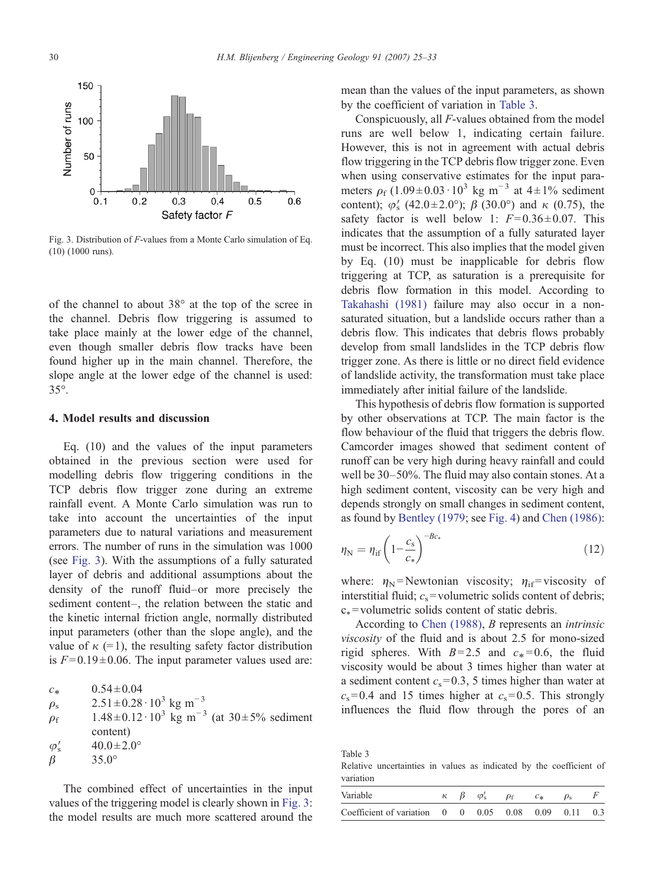<span id="page-5-0"></span>

Fig. 3. Distribution of F-values from a Monte Carlo simulation of Eq. (10) (1000 runs).

of the channel to about 38° at the top of the scree in the channel. Debris flow triggering is assumed to take place mainly at the lower edge of the channel, even though smaller debris flow tracks have been found higher up in the main channel. Therefore, the slope angle at the lower edge of the channel is used: 35°.

### 4. Model results and discussion

Eq. (10) and the values of the input parameters obtained in the previous section were used for modelling debris flow triggering conditions in the TCP debris flow trigger zone during an extreme rainfall event. A Monte Carlo simulation was run to take into account the uncertainties of the input parameters due to natural variations and measurement errors. The number of runs in the simulation was 1000 (see Fig. 3). With the assumptions of a fully saturated layer of debris and additional assumptions about the density of the runoff fluid–or more precisely the sediment content–, the relation between the static and the kinetic internal friction angle, normally distributed input parameters (other than the slope angle), and the value of  $\kappa$  (=1), the resulting safety factor distribution is  $F = 0.19 \pm 0.06$ . The input parameter values used are:

| $c_{*}$        | $0.54 \pm 0.04$                                                         |
|----------------|-------------------------------------------------------------------------|
| $\rho_{\rm s}$ | $2.51 \pm 0.28 \cdot 10^3$ kg m <sup>-3</sup>                           |
| $\rho_f$       | $1.48 \pm 0.12 \cdot 10^3$ kg m <sup>-3</sup> (at $30 \pm 5\%$ sediment |
|                | content)                                                                |
| $\varphi'_{s}$ | $40.0 \pm 2.0^{\circ}$                                                  |
| $\beta$        | $35.0^{\circ}$                                                          |
|                |                                                                         |

The combined effect of uncertainties in the input values of the triggering model is clearly shown in Fig. 3: the model results are much more scattered around the

mean than the values of the input parameters, as shown by the coefficient of variation in Table 3.

Conspicuously, all F-values obtained from the model runs are well below 1, indicating certain failure. However, this is not in agreement with actual debris flow triggering in the TCP debris flow trigger zone. Even when using conservative estimates for the input parameters  $\rho_f$  (1.09 ± 0.03·10<sup>3</sup> kg m<sup>-3</sup> at 4 ± 1% sediment content);  $\varphi'_{s}$  (42.0±2.0°);  $\beta$  (30.0°) and  $\kappa$  (0.75), the safety factor is well below 1:  $F=0.36\pm0.07$ . This indicates that the assumption of a fully saturated layer must be incorrect. This also implies that the model given by Eq. (10) must be inapplicable for debris flow triggering at TCP, as saturation is a prerequisite for debris flow formation in this model. According to [Takahashi \(1981\)](#page-8-0) failure may also occur in a nonsaturated situation, but a landslide occurs rather than a debris flow. This indicates that debris flows probably develop from small landslides in the TCP debris flow trigger zone. As there is little or no direct field evidence of landslide activity, the transformation must take place immediately after initial failure of the landslide.

This hypothesis of debris flow formation is supported by other observations at TCP. The main factor is the flow behaviour of the fluid that triggers the debris flow. Camcorder images showed that sediment content of runoff can be very high during heavy rainfall and could well be 30–50%. The fluid may also contain stones. At a high sediment content, viscosity can be very high and depends strongly on small changes in sediment content, as found by [Bentley \(1979](#page-7-0); see [Fig. 4](#page-6-0)) and [Chen \(1986\):](#page-7-0)

$$
\eta_{\rm N} = \eta_{\rm if} \left( 1 - \frac{c_{\rm s}}{c_*} \right)^{-Bc_*} \tag{12}
$$

where:  $\eta_N$ = Newtonian viscosity;  $\eta_{if}$ = viscosity of interstitial fluid;  $c_s$ = volumetric solids content of debris;  $c_*$ = volumetric solids content of static debris.

According to [Chen \(1988\)](#page-7-0), B represents an intrinsic viscosity of the fluid and is about 2.5 for mono-sized rigid spheres. With  $B=2.5$  and  $c_*=0.6$ , the fluid viscosity would be about 3 times higher than water at a sediment content  $c_s$ = 0.3, 5 times higher than water at  $c_s$ = 0.4 and 15 times higher at  $c_s$ = 0.5. This strongly influences the fluid flow through the pores of an

Table 3

Relative uncertainties in values as indicated by the coefficient of variation

| Variable                                                          |  | $\varphi'_{s}$ | $\rho_{\rm f}$ | $C_{\pm}$ |     |
|-------------------------------------------------------------------|--|----------------|----------------|-----------|-----|
| Coefficient of variation $0 \t 0 \t 0.05 \t 0.08 \t 0.09 \t 0.11$ |  |                |                |           | 0.3 |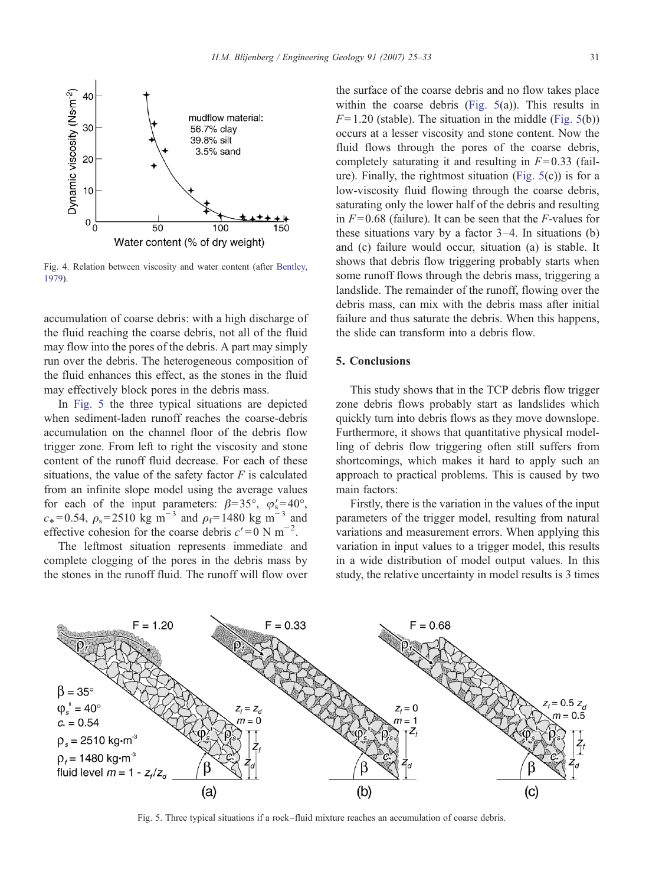<span id="page-6-0"></span>

Fig. 4. Relation between viscosity and water content (after [Bentley,](#page-7-0) [1979\)](#page-7-0).

accumulation of coarse debris: with a high discharge of the fluid reaching the coarse debris, not all of the fluid may flow into the pores of the debris. A part may simply run over the debris. The heterogeneous composition of the fluid enhances this effect, as the stones in the fluid may effectively block pores in the debris mass.

In Fig. 5 the three typical situations are depicted when sediment-laden runoff reaches the coarse-debris accumulation on the channel floor of the debris flow trigger zone. From left to right the viscosity and stone content of the runoff fluid decrease. For each of these situations, the value of the safety factor  $F$  is calculated from an infinite slope model using the average values for each of the input parameters:  $\beta = 35^{\circ}$ ,  $\varphi_s' = 40^{\circ}$ ,  $c_* = 0.54$ ,  $\rho_s = 2510 \text{ kg m}^{-3}$  and  $\rho_f = 1480 \text{ kg m}^{-3}$  and effective cohesion for the coarse debris  $c' = 0$  N m<sup>-2</sup>.

The leftmost situation represents immediate and complete clogging of the pores in the debris mass by the stones in the runoff fluid. The runoff will flow over

the surface of the coarse debris and no flow takes place within the coarse debris (Fig.  $5(a)$ ). This results in  $F= 1.20$  (stable). The situation in the middle (Fig. 5(b)) occurs at a lesser viscosity and stone content. Now the fluid flows through the pores of the coarse debris, completely saturating it and resulting in  $F= 0.33$  (failure). Finally, the rightmost situation (Fig.  $5(c)$ ) is for a low-viscosity fluid flowing through the coarse debris, saturating only the lower half of the debris and resulting in  $F = 0.68$  (failure). It can be seen that the F-values for these situations vary by a factor 3–4. In situations (b) and (c) failure would occur, situation (a) is stable. It shows that debris flow triggering probably starts when some runoff flows through the debris mass, triggering a landslide. The remainder of the runoff, flowing over the debris mass, can mix with the debris mass after initial failure and thus saturate the debris. When this happens, the slide can transform into a debris flow.

# 5. Conclusions

This study shows that in the TCP debris flow trigger zone debris flows probably start as landslides which quickly turn into debris flows as they move downslope. Furthermore, it shows that quantitative physical modelling of debris flow triggering often still suffers from shortcomings, which makes it hard to apply such an approach to practical problems. This is caused by two main factors:

Firstly, there is the variation in the values of the input parameters of the trigger model, resulting from natural variations and measurement errors. When applying this variation in input values to a trigger model, this results in a wide distribution of model output values. In this study, the relative uncertainty in model results is 3 times



Fig. 5. Three typical situations if a rock–fluid mixture reaches an accumulation of coarse debris.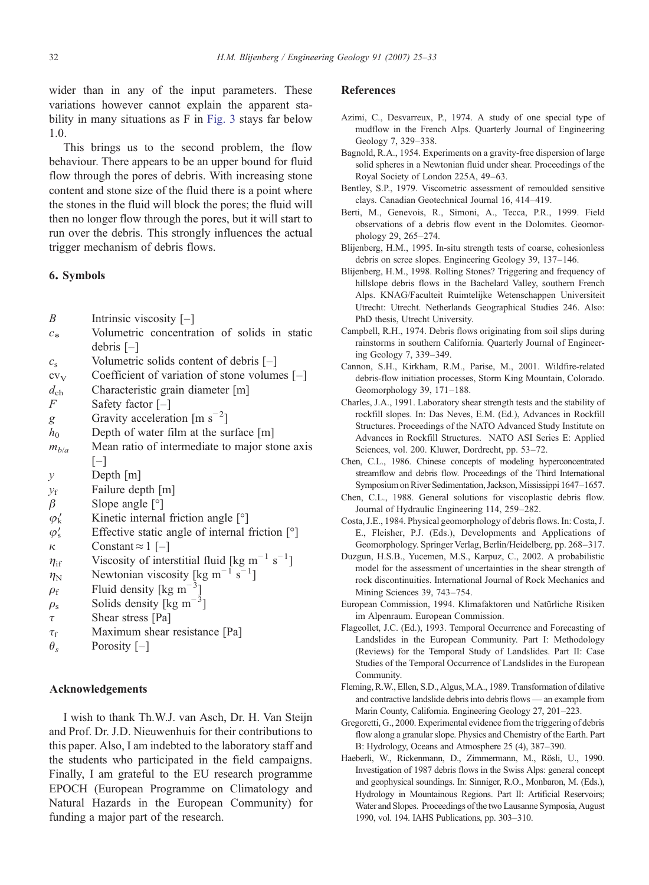<span id="page-7-0"></span>wider than in any of the input parameters. These variations however cannot explain the apparent stability in many situations as F in [Fig. 3](#page-5-0) stays far below 1.0.

This brings us to the second problem, the flow behaviour. There appears to be an upper bound for fluid flow through the pores of debris. With increasing stone content and stone size of the fluid there is a point where the stones in the fluid will block the pores; the fluid will then no longer flow through the pores, but it will start to run over the debris. This strongly influences the actual trigger mechanism of debris flows.

# 6. Symbols

| B                  | Intrinsic viscosity $[-]$                                             |
|--------------------|-----------------------------------------------------------------------|
| $c_*$              | Volumetric concentration of solids in static                          |
|                    | debris $[-]$                                                          |
| $c_{\rm s}$        | Volumetric solids content of debris [-]                               |
| $cv_V$             | Coefficient of variation of stone volumes $[-]$                       |
| $d_{\rm ch}$       | Characteristic grain diameter [m]                                     |
| $\overline{F}$     | Safety factor $[-]$                                                   |
| g                  | Gravity acceleration [m $s^{-2}$ ]                                    |
| $h_0$              | Depth of water film at the surface [m]                                |
| $m_{b/a}$          | Mean ratio of intermediate to major stone axis                        |
|                    | $ - $                                                                 |
| $\mathcal{V}$      | Depth [m]                                                             |
| $y_f$              | Failure depth [m]                                                     |
| $\beta$            | Slope angle $[°]$                                                     |
| $\varphi_{k}'$     | Kinetic internal friction angle $\lceil \circ \rceil$                 |
| $\varphi'_{\rm s}$ | Effective static angle of internal friction [°]                       |
| κ                  | Constant $\approx 1$ [-]                                              |
| $\eta_{\rm if}$    | Viscosity of interstitial fluid [kg m <sup>-1</sup> s <sup>-1</sup> ] |
| $\eta_{\rm N}$     | Newtonian viscosity [kg m <sup>-1</sup> s <sup>-1</sup> ]             |
| $\rho_{\rm f}$     | Fluid density [kg m <sup><math>-3</math></sup> ]                      |
| $\rho_{\rm s}$     | Solids density [kg m <sup><math>-3</math></sup> ]                     |
| $\tau$             | Shear stress [Pa]                                                     |
| $\tau_{\rm f}$     | Maximum shear resistance [Pa]                                         |
| $\theta_s$         | Porosity $[-]$                                                        |

### Acknowledgements

I wish to thank Th.W.J. van Asch, Dr. H. Van Steijn and Prof. Dr. J.D. Nieuwenhuis for their contributions to this paper. Also, I am indebted to the laboratory staff and the students who participated in the field campaigns. Finally, I am grateful to the EU research programme EPOCH (European Programme on Climatology and Natural Hazards in the European Community) for funding a major part of the research.

### References

- Azimi, C., Desvarreux, P., 1974. A study of one special type of mudflow in the French Alps. Quarterly Journal of Engineering Geology 7, 329–338.
- Bagnold, R.A., 1954. Experiments on a gravity-free dispersion of large solid spheres in a Newtonian fluid under shear. Proceedings of the Royal Society of London 225A, 49–63.
- Bentley, S.P., 1979. Viscometric assessment of remoulded sensitive clays. Canadian Geotechnical Journal 16, 414–419.
- Berti, M., Genevois, R., Simoni, A., Tecca, P.R., 1999. Field observations of a debris flow event in the Dolomites. Geomorphology 29, 265–274.
- Blijenberg, H.M., 1995. In-situ strength tests of coarse, cohesionless debris on scree slopes. Engineering Geology 39, 137–146.
- Blijenberg, H.M., 1998. Rolling Stones? Triggering and frequency of hillslope debris flows in the Bachelard Valley, southern French Alps. KNAG/Faculteit Ruimtelijke Wetenschappen Universiteit Utrecht: Utrecht. Netherlands Geographical Studies 246. Also: PhD thesis, Utrecht University.
- Campbell, R.H., 1974. Debris flows originating from soil slips during rainstorms in southern California. Quarterly Journal of Engineering Geology 7, 339–349.
- Cannon, S.H., Kirkham, R.M., Parise, M., 2001. Wildfire-related debris-flow initiation processes, Storm King Mountain, Colorado. Geomorphology 39, 171–188.
- Charles, J.A., 1991. Laboratory shear strength tests and the stability of rockfill slopes. In: Das Neves, E.M. (Ed.), Advances in Rockfill Structures. Proceedings of the NATO Advanced Study Institute on Advances in Rockfill Structures. NATO ASI Series E: Applied Sciences, vol. 200. Kluwer, Dordrecht, pp. 53–72.
- Chen, C.L., 1986. Chinese concepts of modeling hyperconcentrated streamflow and debris flow. Proceedings of the Third International Symposium on River Sedimentation, Jackson, Mississippi 1647–1657.
- Chen, C.L., 1988. General solutions for viscoplastic debris flow. Journal of Hydraulic Engineering 114, 259–282.
- Costa, J.E., 1984. Physical geomorphology of debris flows. In: Costa, J. E., Fleisher, P.J. (Eds.), Developments and Applications of Geomorphology. Springer Verlag, Berlin/Heidelberg, pp. 268–317.
- Duzgun, H.S.B., Yucemen, M.S., Karpuz, C., 2002. A probabilistic model for the assessment of uncertainties in the shear strength of rock discontinuities. International Journal of Rock Mechanics and Mining Sciences 39, 743–754.
- European Commission, 1994. Klimafaktoren und Natürliche Risiken im Alpenraum. European Commission.
- Flageollet, J.C. (Ed.), 1993. Temporal Occurrence and Forecasting of Landslides in the European Community. Part I: Methodology (Reviews) for the Temporal Study of Landslides. Part II: Case Studies of the Temporal Occurrence of Landslides in the European Community.
- Fleming, R.W., Ellen, S.D., Algus, M.A., 1989. Transformation of dilative and contractive landslide debris into debris flows — an example from Marin County, California. Engineering Geology 27, 201–223.
- Gregoretti, G., 2000. Experimental evidence from the triggering of debris flow along a granular slope. Physics and Chemistry of the Earth. Part B: Hydrology, Oceans and Atmosphere 25 (4), 387–390.
- Haeberli, W., Rickenmann, D., Zimmermann, M., Rösli, U., 1990. Investigation of 1987 debris flows in the Swiss Alps: general concept and geophysical soundings. In: Sinniger, R.O., Monbaron, M. (Eds.), Hydrology in Mountainous Regions. Part II: Artificial Reservoirs; Water and Slopes. Proceedings of the two Lausanne Symposia, August 1990, vol. 194. IAHS Publications, pp. 303–310.